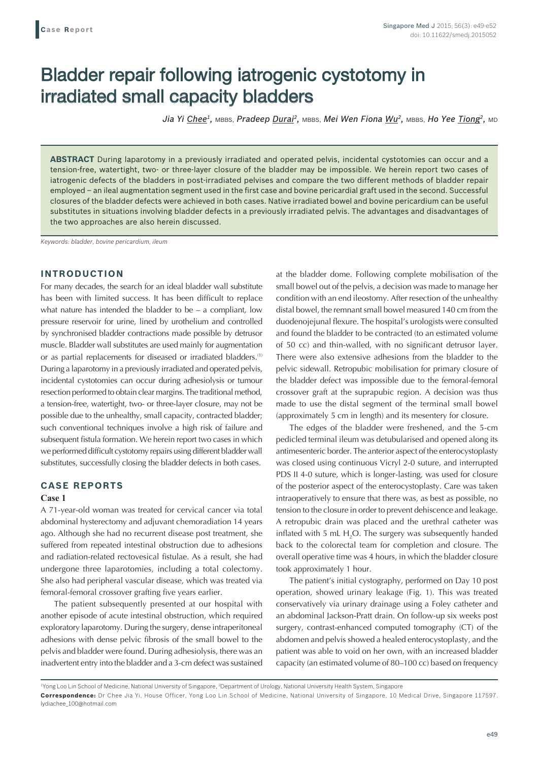# Bladder repair following iatrogenic cystotomy in irradiated small capacity bladders

*Jia Yi Chee1,* MBBS, *Pradeep Durai2,* MBBS, *Mei Wen Fiona Wu2,* MBBS, *Ho Yee Tiong2,* MD

**ABSTRACT** During laparotomy in a previously irradiated and operated pelvis, incidental cystotomies can occur and a tension-free, watertight, two- or three-layer closure of the bladder may be impossible. We herein report two cases of iatrogenic defects of the bladders in post-irradiated pelvises and compare the two different methods of bladder repair employed – an ileal augmentation segment used in the first case and bovine pericardial graft used in the second. Successful closures of the bladder defects were achieved in both cases. Native irradiated bowel and bovine pericardium can be useful substitutes in situations involving bladder defects in a previously irradiated pelvis. The advantages and disadvantages of the two approaches are also herein discussed.

*Keywords: bladder, bovine pericardium, ileum*

# **INTRODUCTION**

For many decades, the search for an ideal bladder wall substitute has been with limited success. It has been difficult to replace what nature has intended the bladder to be – a compliant, low pressure reservoir for urine, lined by urothelium and controlled by synchronised bladder contractions made possible by detrusor muscle. Bladder wall substitutes are used mainly for augmentation or as partial replacements for diseased or irradiated bladders.(1) During a laparotomy in a previously irradiated and operated pelvis, incidental cystotomies can occur during adhesiolysis or tumour resection performed to obtain clear margins. The traditional method, a tension-free, watertight, two- or three-layer closure, may not be possible due to the unhealthy, small capacity, contracted bladder; such conventional techniques involve a high risk of failure and subsequent fistula formation. We herein report two cases in which we performed difficult cystotomy repairs using different bladder wall substitutes, successfully closing the bladder defects in both cases.

# **CASE REPORTS**

## **Case 1**

A 71-year-old woman was treated for cervical cancer via total abdominal hysterectomy and adjuvant chemoradiation 14 years ago. Although she had no recurrent disease post treatment, she suffered from repeated intestinal obstruction due to adhesions and radiation-related rectovesical fistulae. As a result, she had undergone three laparotomies, including a total colectomy. She also had peripheral vascular disease, which was treated via femoral-femoral crossover grafting five years earlier.

The patient subsequently presented at our hospital with another episode of acute intestinal obstruction, which required exploratory laparotomy. During the surgery, dense intraperitoneal adhesions with dense pelvic fibrosis of the small bowel to the pelvis and bladder were found. During adhesiolysis, there was an inadvertent entry into the bladder and a 3-cm defect was sustained at the bladder dome. Following complete mobilisation of the small bowel out of the pelvis, a decision was made to manage her condition with an end ileostomy. After resection of the unhealthy distal bowel, the remnant small bowel measured 140 cm from the duodenojejunal flexure. The hospital's urologists were consulted and found the bladder to be contracted (to an estimated volume of 50 cc) and thin-walled, with no significant detrusor layer. There were also extensive adhesions from the bladder to the pelvic sidewall. Retropubic mobilisation for primary closure of the bladder defect was impossible due to the femoral-femoral crossover graft at the suprapubic region. A decision was thus made to use the distal segment of the terminal small bowel (approximately 5 cm in length) and its mesentery for closure.

The edges of the bladder were freshened, and the 5-cm pedicled terminal ileum was detubularised and opened along its antimesenteric border. The anterior aspect of the enterocystoplasty was closed using continuous Vicryl 2-0 suture, and interrupted PDS II 4-0 suture, which is longer-lasting, was used for closure of the posterior aspect of the enterocystoplasty. Care was taken intraoperatively to ensure that there was, as best as possible, no tension to the closure in order to prevent dehiscence and leakage. A retropubic drain was placed and the urethral catheter was inflated with 5 mL  $H_2O$ . The surgery was subsequently handed back to the colorectal team for completion and closure. The overall operative time was 4 hours, in which the bladder closure took approximately 1 hour.

The patient's initial cystography, performed on Day 10 post operation, showed urinary leakage (Fig. 1). This was treated conservatively via urinary drainage using a Foley catheter and an abdominal Jackson-Pratt drain. On follow-up six weeks post surgery, contrast-enhanced computed tomography (CT) of the abdomen and pelvis showed a healed enterocystoplasty, and the patient was able to void on her own, with an increased bladder capacity (an estimated volume of 80–100 cc) based on frequency

<sup>&</sup>lt;sup>1</sup>Yong Loo Lin School of Medicine, National University of Singapore, <sup>2</sup>Department of Urology, National University Health System, Singapore **Correspondence:** Dr Chee Jia Yi, House Officer, Yong Loo Lin School of Medicine, National University of Singapore, 10 Medical Drive, Singapore 117597. lydiachee\_100@hotmail.com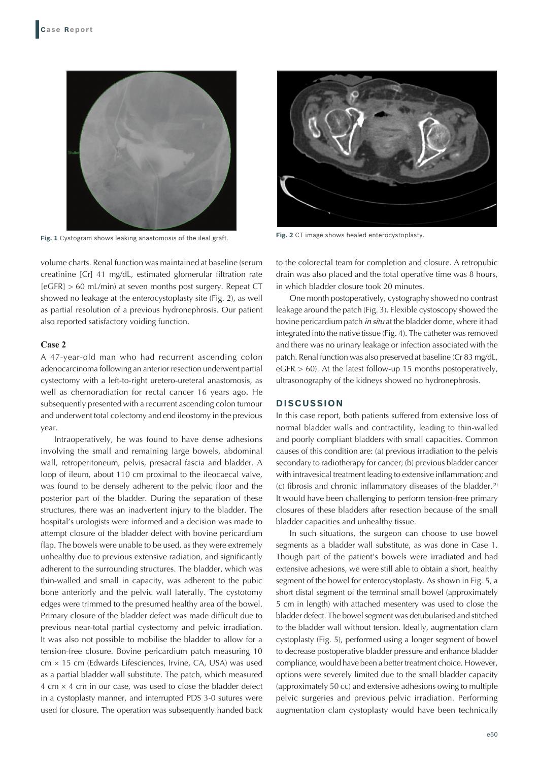

**Fig. 1** Cystogram shows leaking anastomosis of the ileal graft. **Fig. 2** CT image shows healed enterocystoplasty.

volume charts. Renal function was maintained at baseline (serum creatinine [Cr] 41 mg/dL, estimated glomerular filtration rate [eGFR] > 60 mL/min) at seven months post surgery. Repeat CT showed no leakage at the enterocystoplasty site (Fig. 2), as well as partial resolution of a previous hydronephrosis. Our patient also reported satisfactory voiding function.

## **Case 2**

A 47-year-old man who had recurrent ascending colon adenocarcinoma following an anterior resection underwent partial cystectomy with a left-to-right uretero-ureteral anastomosis, as well as chemoradiation for rectal cancer 16 years ago. He subsequently presented with a recurrent ascending colon tumour and underwent total colectomy and end ileostomy in the previous year.

Intraoperatively, he was found to have dense adhesions involving the small and remaining large bowels, abdominal wall, retroperitoneum, pelvis, presacral fascia and bladder. A loop of ileum, about 110 cm proximal to the ileocaecal valve, was found to be densely adherent to the pelvic floor and the posterior part of the bladder. During the separation of these structures, there was an inadvertent injury to the bladder. The hospital's urologists were informed and a decision was made to attempt closure of the bladder defect with bovine pericardium flap. The bowels were unable to be used, as they were extremely unhealthy due to previous extensive radiation, and significantly adherent to the surrounding structures. The bladder, which was thin-walled and small in capacity, was adherent to the pubic bone anteriorly and the pelvic wall laterally. The cystotomy edges were trimmed to the presumed healthy area of the bowel. Primary closure of the bladder defect was made difficult due to previous near-total partial cystectomy and pelvic irradiation. It was also not possible to mobilise the bladder to allow for a tension-free closure. Bovine pericardium patch measuring 10 cm × 15 cm (Edwards Lifesciences, Irvine, CA, USA) was used as a partial bladder wall substitute. The patch, which measured  $4 \text{ cm} \times 4 \text{ cm}$  in our case, was used to close the bladder defect in a cystoplasty manner, and interrupted PDS 3-0 sutures were used for closure. The operation was subsequently handed back



to the colorectal team for completion and closure. A retropubic drain was also placed and the total operative time was 8 hours, in which bladder closure took 20 minutes.

One month postoperatively, cystography showed no contrast leakage around the patch (Fig. 3). Flexible cystoscopy showed the bovine pericardium patch *in situ* at the bladder dome, where it had integrated into the native tissue (Fig. 4). The catheter was removed and there was no urinary leakage or infection associated with the patch. Renal function was also preserved at baseline (Cr 83 mg/dL,  $eGFR > 60$ ). At the latest follow-up 15 months postoperatively, ultrasonography of the kidneys showed no hydronephrosis.

# **DISCUSSION**

In this case report, both patients suffered from extensive loss of normal bladder walls and contractility, leading to thin-walled and poorly compliant bladders with small capacities. Common causes of this condition are: (a) previous irradiation to the pelvis secondary to radiotherapy for cancer; (b) previous bladder cancer with intravesical treatment leading to extensive inflammation; and (c) fibrosis and chronic inflammatory diseases of the bladder. $(2)$ It would have been challenging to perform tension-free primary closures of these bladders after resection because of the small bladder capacities and unhealthy tissue.

In such situations, the surgeon can choose to use bowel segments as a bladder wall substitute, as was done in Case 1. Though part of the patient's bowels were irradiated and had extensive adhesions, we were still able to obtain a short, healthy segment of the bowel for enterocystoplasty. As shown in Fig. 5, a short distal segment of the terminal small bowel (approximately 5 cm in length) with attached mesentery was used to close the bladder defect. The bowel segment was detubularised and stitched to the bladder wall without tension. Ideally, augmentation clam cystoplasty (Fig. 5), performed using a longer segment of bowel to decrease postoperative bladder pressure and enhance bladder compliance, would have been a better treatment choice. However, options were severely limited due to the small bladder capacity (approximately 50 cc) and extensive adhesions owing to multiple pelvic surgeries and previous pelvic irradiation. Performing augmentation clam cystoplasty would have been technically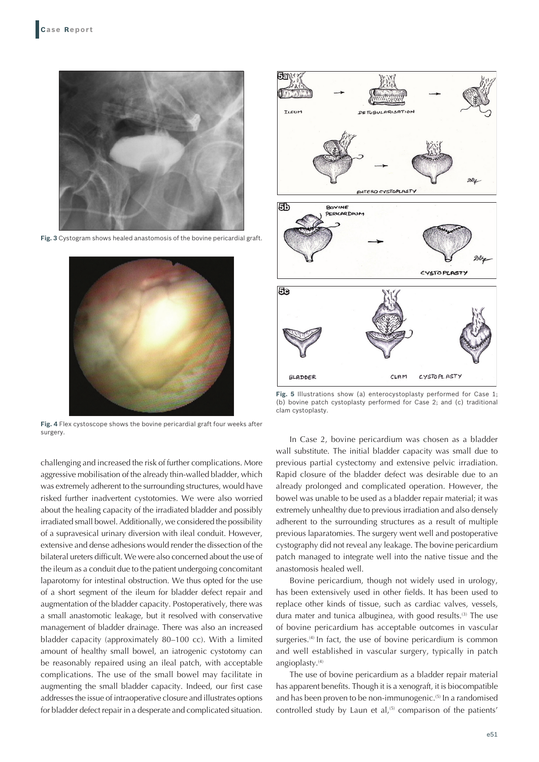

**Fig. 3** Cystogram shows healed anastomosis of the bovine pericardial graft.



**Fig. 4** Flex cystoscope shows the bovine pericardial graft four weeks after surgery.

challenging and increased the risk of further complications. More aggressive mobilisation of the already thin-walled bladder, which was extremely adherent to the surrounding structures, would have risked further inadvertent cystotomies. We were also worried about the healing capacity of the irradiated bladder and possibly irradiated small bowel. Additionally, we considered the possibility of a supravesical urinary diversion with ileal conduit. However, extensive and dense adhesions would render the dissection of the bilateral ureters difficult. We were also concerned about the use of the ileum as a conduit due to the patient undergoing concomitant laparotomy for intestinal obstruction. We thus opted for the use of a short segment of the ileum for bladder defect repair and augmentation of the bladder capacity. Postoperatively, there was a small anastomotic leakage, but it resolved with conservative management of bladder drainage. There was also an increased bladder capacity (approximately 80–100 cc). With a limited amount of healthy small bowel, an iatrogenic cystotomy can be reasonably repaired using an ileal patch, with acceptable complications. The use of the small bowel may facilitate in augmenting the small bladder capacity. Indeed, our first case addresses the issue of intraoperative closure and illustrates options for bladder defect repair in a desperate and complicated situation.



**Fig. 5** Illustrations show (a) enterocystoplasty performed for Case 1; (b) bovine patch cystoplasty performed for Case 2; and (c) traditional clam cystoplasty.

In Case 2, bovine pericardium was chosen as a bladder wall substitute. The initial bladder capacity was small due to previous partial cystectomy and extensive pelvic irradiation. Rapid closure of the bladder defect was desirable due to an already prolonged and complicated operation. However, the bowel was unable to be used as a bladder repair material; it was extremely unhealthy due to previous irradiation and also densely adherent to the surrounding structures as a result of multiple previous laparatomies. The surgery went well and postoperative cystography did not reveal any leakage. The bovine pericardium patch managed to integrate well into the native tissue and the anastomosis healed well.

Bovine pericardium, though not widely used in urology, has been extensively used in other fields. It has been used to replace other kinds of tissue, such as cardiac valves, vessels, dura mater and tunica albuginea, with good results.<sup>(3)</sup> The use of bovine pericardium has acceptable outcomes in vascular surgeries.<sup>(4)</sup> In fact, the use of bovine pericardium is common and well established in vascular surgery, typically in patch angioplasty.(4)

The use of bovine pericardium as a bladder repair material has apparent benefits. Though it is a xenograft, it is biocompatible and has been proven to be non-immunogenic.<sup>(5)</sup> In a randomised controlled study by Laun et al, $(5)$  comparison of the patients'